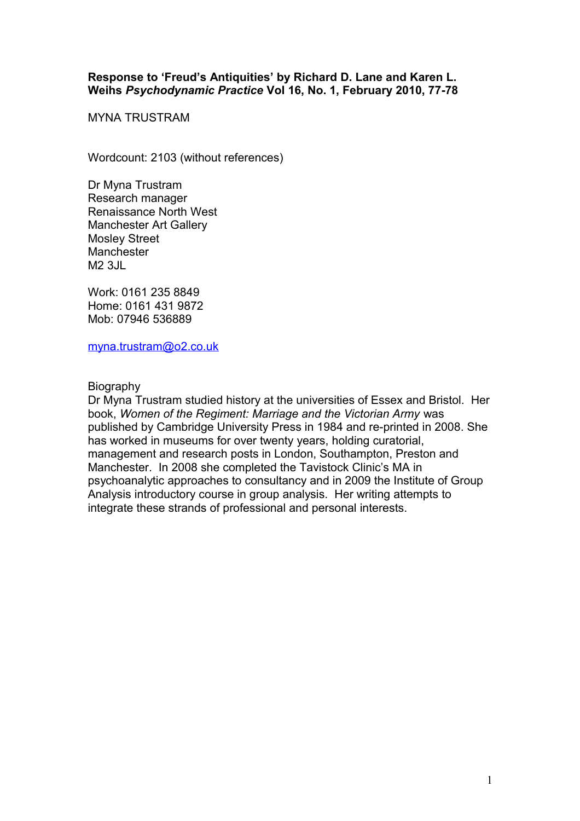## **Response to 'Freud's Antiquities' by Richard D. Lane and Karen L. Weihs** *Psychodynamic Practice* **Vol 16, No. 1, February 2010, 77-78**

MYNA TRUSTRAM

Wordcount: 2103 (without references)

Dr Myna Trustram Research manager Renaissance North West Manchester Art Gallery Mosley Street **Manchester**  $M2$  3.IL

Work: 0161 235 8849 Home: 0161 431 9872 Mob: 07946 536889

[myna.trustram@o2.co.uk](mailto:myna.trustram@o2.co.uk)

**Biography** 

Dr Myna Trustram studied history at the universities of Essex and Bristol. Her book, *Women of the Regiment: Marriage and the Victorian Army* was published by Cambridge University Press in 1984 and re-printed in 2008. She has worked in museums for over twenty years, holding curatorial, management and research posts in London, Southampton, Preston and Manchester. In 2008 she completed the Tavistock Clinic's MA in psychoanalytic approaches to consultancy and in 2009 the Institute of Group Analysis introductory course in group analysis. Her writing attempts to integrate these strands of professional and personal interests.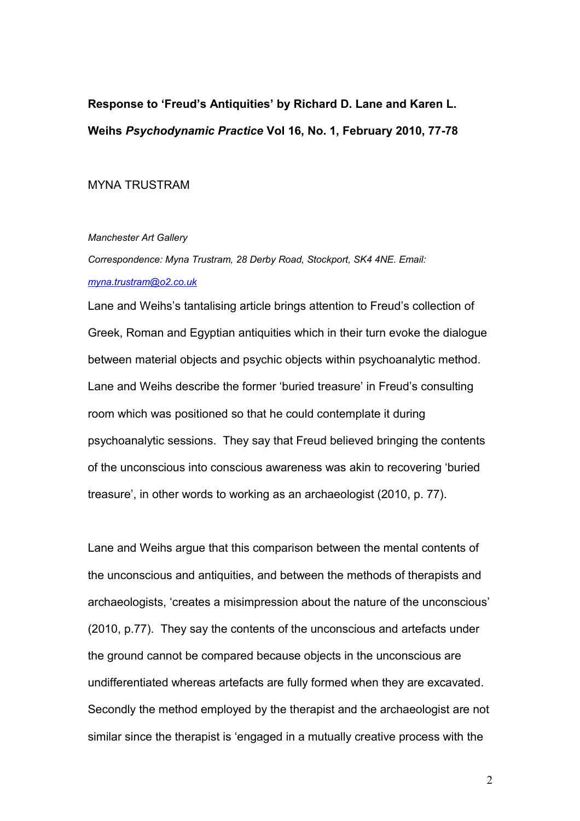**Response to 'Freud's Antiquities' by Richard D. Lane and Karen L. Weihs** *Psychodynamic Practice* **Vol 16, No. 1, February 2010, 77-78**

MYNA TRUSTRAM

*Manchester Art Gallery*

*Correspondence: Myna Trustram, 28 Derby Road, Stockport, SK4 4NE. Email: [myna.trustram@o2.co.uk](mailto:myna.trustram@o2.co.uk)*

Lane and Weihs's tantalising article brings attention to Freud's collection of Greek, Roman and Egyptian antiquities which in their turn evoke the dialogue between material objects and psychic objects within psychoanalytic method. Lane and Weihs describe the former 'buried treasure' in Freud's consulting room which was positioned so that he could contemplate it during psychoanalytic sessions. They say that Freud believed bringing the contents of the unconscious into conscious awareness was akin to recovering 'buried treasure', in other words to working as an archaeologist (2010, p. 77).

Lane and Weihs argue that this comparison between the mental contents of the unconscious and antiquities, and between the methods of therapists and archaeologists, 'creates a misimpression about the nature of the unconscious' (2010, p.77). They say the contents of the unconscious and artefacts under the ground cannot be compared because objects in the unconscious are undifferentiated whereas artefacts are fully formed when they are excavated. Secondly the method employed by the therapist and the archaeologist are not similar since the therapist is 'engaged in a mutually creative process with the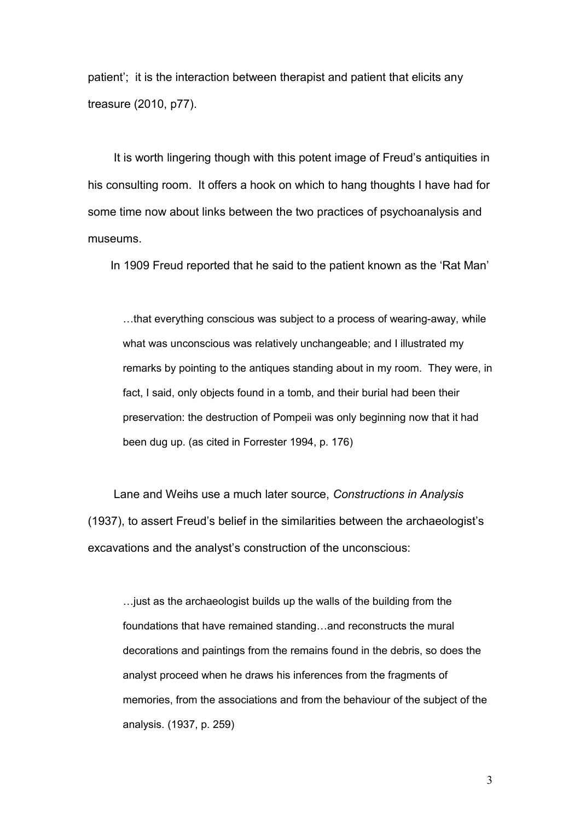patient'; it is the interaction between therapist and patient that elicits any treasure (2010, p77).

 It is worth lingering though with this potent image of Freud's antiquities in his consulting room. It offers a hook on which to hang thoughts I have had for some time now about links between the two practices of psychoanalysis and museums.

In 1909 Freud reported that he said to the patient known as the 'Rat Man'

…that everything conscious was subject to a process of wearing-away, while what was unconscious was relatively unchangeable; and I illustrated my remarks by pointing to the antiques standing about in my room. They were, in fact, I said, only objects found in a tomb, and their burial had been their preservation: the destruction of Pompeii was only beginning now that it had been dug up. (as cited in Forrester 1994, p. 176)

 Lane and Weihs use a much later source, *Constructions in Analysis* (1937), to assert Freud's belief in the similarities between the archaeologist's excavations and the analyst's construction of the unconscious:

…just as the archaeologist builds up the walls of the building from the foundations that have remained standing…and reconstructs the mural decorations and paintings from the remains found in the debris, so does the analyst proceed when he draws his inferences from the fragments of memories, from the associations and from the behaviour of the subject of the analysis. (1937, p. 259)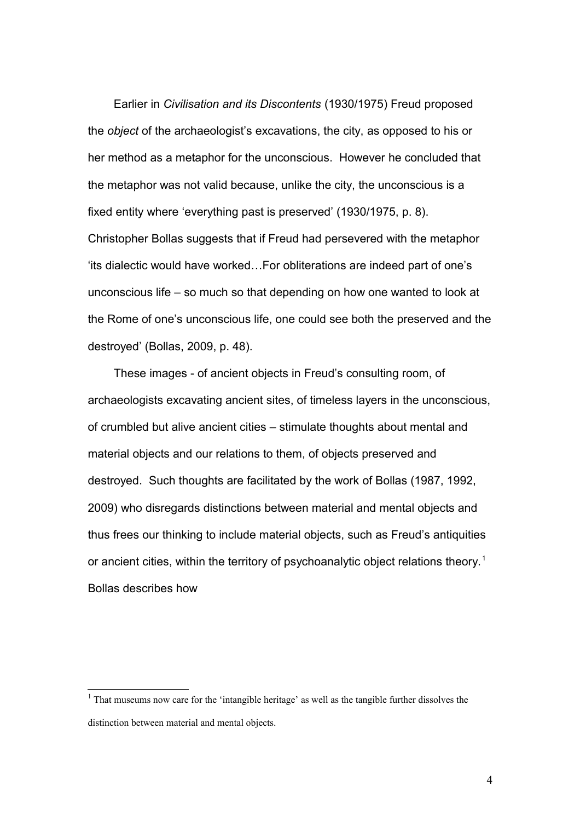Earlier in *Civilisation and its Discontents* (1930/1975) Freud proposed the *object* of the archaeologist's excavations, the city, as opposed to his or her method as a metaphor for the unconscious. However he concluded that the metaphor was not valid because, unlike the city, the unconscious is a fixed entity where 'everything past is preserved' (1930/1975, p. 8). Christopher Bollas suggests that if Freud had persevered with the metaphor 'its dialectic would have worked…For obliterations are indeed part of one's unconscious life – so much so that depending on how one wanted to look at the Rome of one's unconscious life, one could see both the preserved and the destroyed' (Bollas, 2009, p. 48).

 These images - of ancient objects in Freud's consulting room, of archaeologists excavating ancient sites, of timeless layers in the unconscious, of crumbled but alive ancient cities – stimulate thoughts about mental and material objects and our relations to them, of objects preserved and destroyed. Such thoughts are facilitated by the work of Bollas (1987, 1992, 2009) who disregards distinctions between material and mental objects and thus frees our thinking to include material objects, such as Freud's antiquities or ancient cities, within the territory of psychoanalytic object relations theory.<sup>[1](#page-3-0)</sup> Bollas describes how

<span id="page-3-0"></span> $<sup>1</sup>$  That museums now care for the 'intangible heritage' as well as the tangible further dissolves the</sup> distinction between material and mental objects.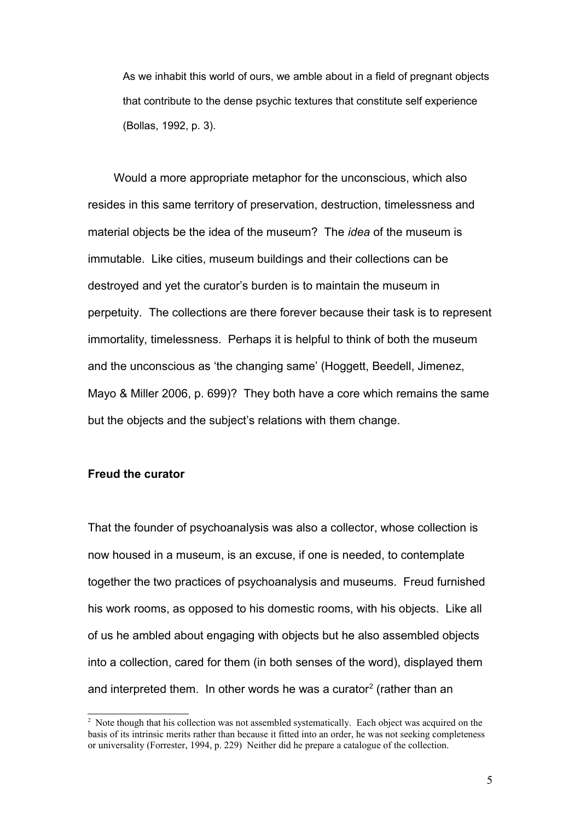As we inhabit this world of ours, we amble about in a field of pregnant objects that contribute to the dense psychic textures that constitute self experience (Bollas, 1992, p. 3).

 Would a more appropriate metaphor for the unconscious, which also resides in this same territory of preservation, destruction, timelessness and material objects be the idea of the museum? The *idea* of the museum is immutable. Like cities, museum buildings and their collections can be destroyed and yet the curator's burden is to maintain the museum in perpetuity. The collections are there forever because their task is to represent immortality, timelessness. Perhaps it is helpful to think of both the museum and the unconscious as 'the changing same' (Hoggett, Beedell, Jimenez, Mayo & Miller 2006, p. 699)? They both have a core which remains the same but the objects and the subject's relations with them change.

## **Freud the curator**

That the founder of psychoanalysis was also a collector, whose collection is now housed in a museum, is an excuse, if one is needed, to contemplate together the two practices of psychoanalysis and museums. Freud furnished his work rooms, as opposed to his domestic rooms, with his objects. Like all of us he ambled about engaging with objects but he also assembled objects into a collection, cared for them (in both senses of the word), displayed them and interpreted them. In other words he was a curator<sup>[2](#page-4-0)</sup> (rather than an

<span id="page-4-0"></span><sup>&</sup>lt;sup>2</sup> Note though that his collection was not assembled systematically. Each object was acquired on the basis of its intrinsic merits rather than because it fitted into an order, he was not seeking completeness or universality (Forrester, 1994, p. 229) Neither did he prepare a catalogue of the collection.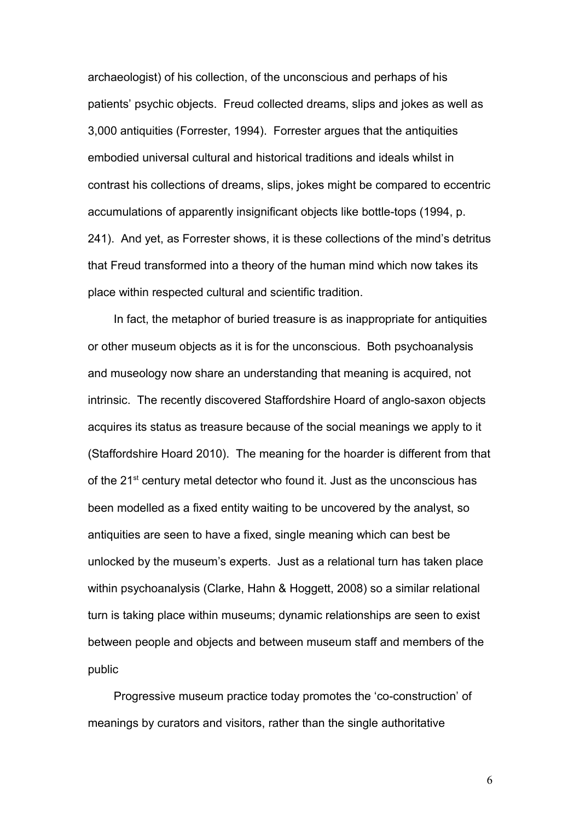archaeologist) of his collection, of the unconscious and perhaps of his patients' psychic objects. Freud collected dreams, slips and jokes as well as 3,000 antiquities (Forrester, 1994). Forrester argues that the antiquities embodied universal cultural and historical traditions and ideals whilst in contrast his collections of dreams, slips, jokes might be compared to eccentric accumulations of apparently insignificant objects like bottle-tops (1994, p. 241). And yet, as Forrester shows, it is these collections of the mind's detritus that Freud transformed into a theory of the human mind which now takes its place within respected cultural and scientific tradition.

 In fact, the metaphor of buried treasure is as inappropriate for antiquities or other museum objects as it is for the unconscious. Both psychoanalysis and museology now share an understanding that meaning is acquired, not intrinsic. The recently discovered Staffordshire Hoard of anglo-saxon objects acquires its status as treasure because of the social meanings we apply to it (Staffordshire Hoard 2010). The meaning for the hoarder is different from that of the 21<sup>st</sup> century metal detector who found it. Just as the unconscious has been modelled as a fixed entity waiting to be uncovered by the analyst, so antiquities are seen to have a fixed, single meaning which can best be unlocked by the museum's experts. Just as a relational turn has taken place within psychoanalysis (Clarke, Hahn & Hoggett, 2008) so a similar relational turn is taking place within museums; dynamic relationships are seen to exist between people and objects and between museum staff and members of the public

 Progressive museum practice today promotes the 'co-construction' of meanings by curators and visitors, rather than the single authoritative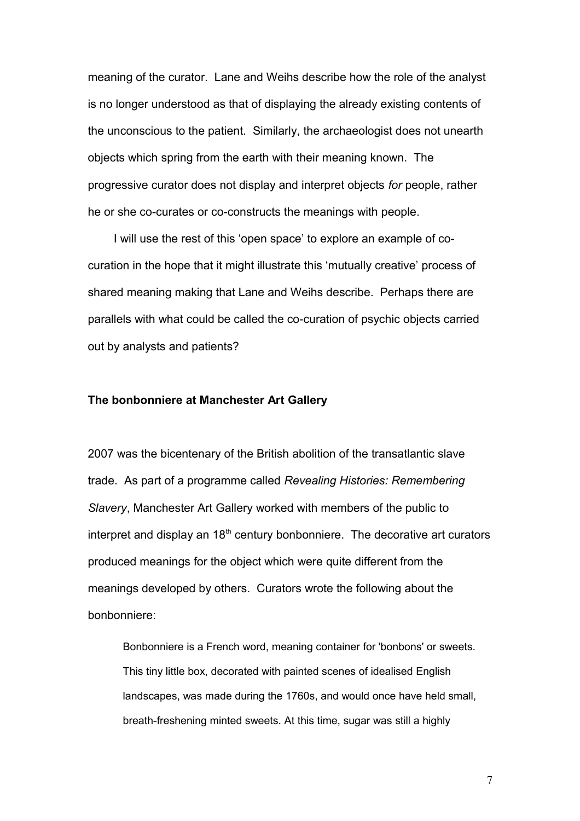meaning of the curator. Lane and Weihs describe how the role of the analyst is no longer understood as that of displaying the already existing contents of the unconscious to the patient. Similarly, the archaeologist does not unearth objects which spring from the earth with their meaning known. The progressive curator does not display and interpret objects *for* people, rather he or she co-curates or co-constructs the meanings with people.

 I will use the rest of this 'open space' to explore an example of cocuration in the hope that it might illustrate this 'mutually creative' process of shared meaning making that Lane and Weihs describe. Perhaps there are parallels with what could be called the co-curation of psychic objects carried out by analysts and patients?

## **The bonbonniere at Manchester Art Gallery**

2007 was the bicentenary of the British abolition of the transatlantic slave trade. As part of a programme called *Revealing Histories: Remembering Slavery*, Manchester Art Gallery worked with members of the public to interpret and display an  $18<sup>th</sup>$  century bonbonniere. The decorative art curators produced meanings for the object which were quite different from the meanings developed by others. Curators wrote the following about the bonbonniere:

Bonbonniere is a French word, meaning container for 'bonbons' or sweets. This tiny little box, decorated with painted scenes of idealised English landscapes, was made during the 1760s, and would once have held small, breath-freshening minted sweets. At this time, sugar was still a highly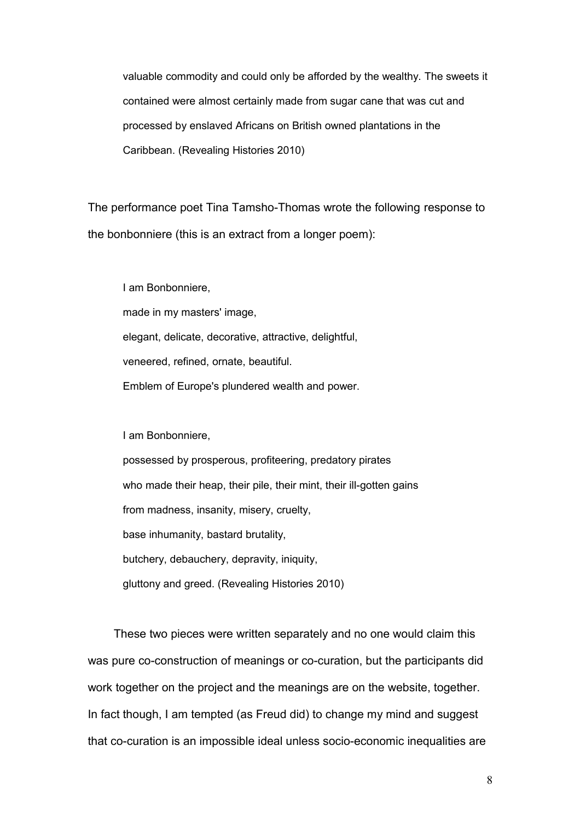valuable commodity and could only be afforded by the wealthy. The sweets it contained were almost certainly made from sugar cane that was cut and processed by enslaved Africans on British owned plantations in the Caribbean. (Revealing Histories 2010)

The performance poet Tina Tamsho-Thomas wrote the following response to the bonbonniere (this is an extract from a longer poem):

I am Bonbonniere, made in my masters' image, elegant, delicate, decorative, attractive, delightful, veneered, refined, ornate, beautiful. Emblem of Europe's plundered wealth and power.

I am Bonbonniere,

possessed by prosperous, profiteering, predatory pirates who made their heap, their pile, their mint, their ill-gotten gains from madness, insanity, misery, cruelty, base inhumanity, bastard brutality, butchery, debauchery, depravity, iniquity, gluttony and greed. (Revealing Histories 2010)

 These two pieces were written separately and no one would claim this was pure co-construction of meanings or co-curation, but the participants did work together on the project and the meanings are on the website, together. In fact though, I am tempted (as Freud did) to change my mind and suggest that co-curation is an impossible ideal unless socio-economic inequalities are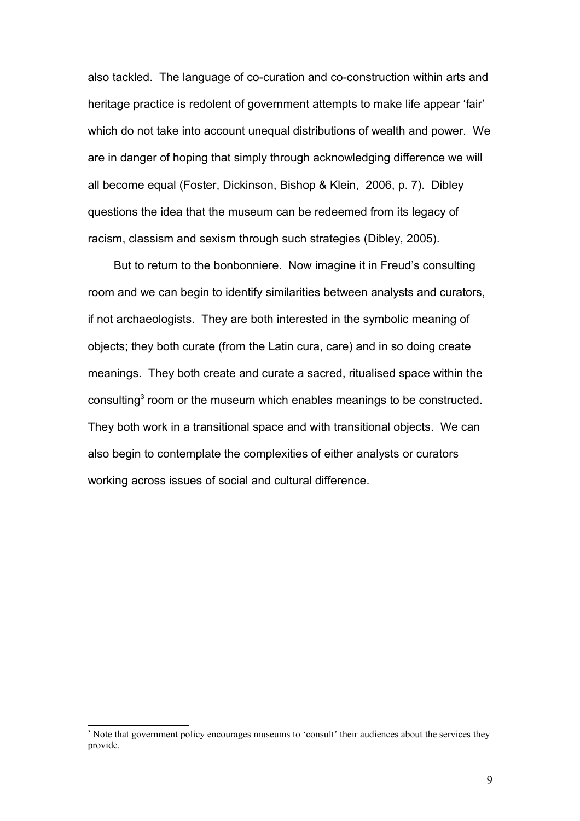also tackled. The language of co-curation and co-construction within arts and heritage practice is redolent of government attempts to make life appear 'fair' which do not take into account unequal distributions of wealth and power. We are in danger of hoping that simply through acknowledging difference we will all become equal (Foster, Dickinson, Bishop & Klein, 2006, p. 7). Dibley questions the idea that the museum can be redeemed from its legacy of racism, classism and sexism through such strategies (Dibley, 2005).

 But to return to the bonbonniere. Now imagine it in Freud's consulting room and we can begin to identify similarities between analysts and curators, if not archaeologists. They are both interested in the symbolic meaning of objects; they both curate (from the Latin cura, care) and in so doing create meanings. They both create and curate a sacred, ritualised space within the consulting<sup>[3](#page-8-0)</sup> room or the museum which enables meanings to be constructed. They both work in a transitional space and with transitional objects. We can also begin to contemplate the complexities of either analysts or curators working across issues of social and cultural difference.

<span id="page-8-0"></span><sup>&</sup>lt;sup>3</sup> Note that government policy encourages museums to 'consult' their audiences about the services they provide.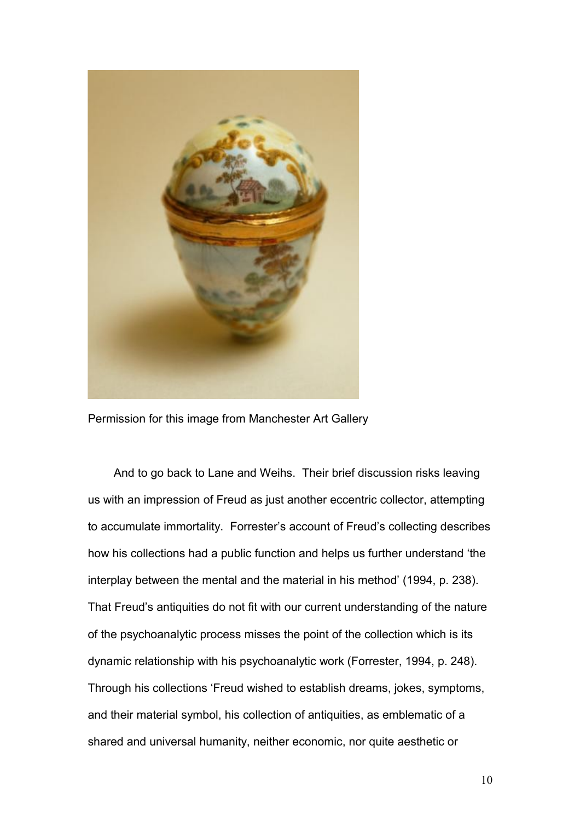

Permission for this image from Manchester Art Gallery

 And to go back to Lane and Weihs. Their brief discussion risks leaving us with an impression of Freud as just another eccentric collector, attempting to accumulate immortality. Forrester's account of Freud's collecting describes how his collections had a public function and helps us further understand 'the interplay between the mental and the material in his method' (1994, p. 238). That Freud's antiquities do not fit with our current understanding of the nature of the psychoanalytic process misses the point of the collection which is its dynamic relationship with his psychoanalytic work (Forrester, 1994, p. 248). Through his collections 'Freud wished to establish dreams, jokes, symptoms, and their material symbol, his collection of antiquities, as emblematic of a shared and universal humanity, neither economic, nor quite aesthetic or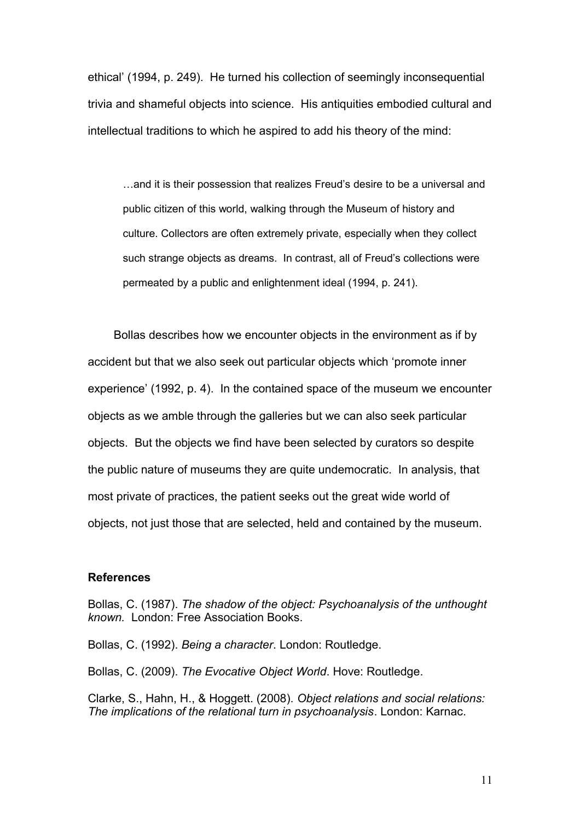ethical' (1994, p. 249). He turned his collection of seemingly inconsequential trivia and shameful objects into science. His antiquities embodied cultural and intellectual traditions to which he aspired to add his theory of the mind:

…and it is their possession that realizes Freud's desire to be a universal and public citizen of this world, walking through the Museum of history and culture. Collectors are often extremely private, especially when they collect such strange objects as dreams. In contrast, all of Freud's collections were permeated by a public and enlightenment ideal (1994, p. 241).

 Bollas describes how we encounter objects in the environment as if by accident but that we also seek out particular objects which 'promote inner experience' (1992, p. 4). In the contained space of the museum we encounter objects as we amble through the galleries but we can also seek particular objects. But the objects we find have been selected by curators so despite the public nature of museums they are quite undemocratic. In analysis, that most private of practices, the patient seeks out the great wide world of objects, not just those that are selected, held and contained by the museum.

## **References**

Bollas, C. (1987). *The shadow of the object: Psychoanalysis of the unthought known.* London: Free Association Books.

Bollas, C. (1992). *Being a character*. London: Routledge.

Bollas, C. (2009). *The Evocative Object World*. Hove: Routledge.

Clarke, S., Hahn, H., & Hoggett. (2008). *Object relations and social relations: The implications of the relational turn in psychoanalysis*. London: Karnac.